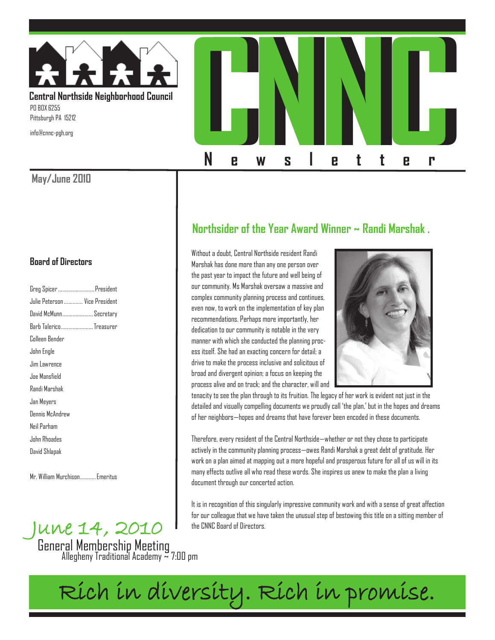

### **Central Northside Neighborhood Council**  PO BOX 6255

info@cnnc-pgh.org

### **May/June 2010**

### **Board of Directors**

| Greg Spicer  President         |  |
|--------------------------------|--|
| Julie Peterson  Vice President |  |
| David McMunn Secretary         |  |
| Barb TalericoTreasurer         |  |
| Colleen Bender                 |  |
| John Engle                     |  |
| Jim Lawrence                   |  |
| Joe Mansfield                  |  |
| Randi Marshak                  |  |
| Jan Meyers                     |  |
| Dennis McAndrew                |  |
| Neil Parham                    |  |
| John Rhoades                   |  |
| David Shlapak                  |  |
|                                |  |

Mr. William Murchison ........... Emeritus

# JUNE  $14$ , 2010  $\frac{1}{10}$  the General Membership Meeting  $\frac{1}{27.00}$  pm



# **Northsider of the Year Award Winner ~ Randi Marshak .**

Without a doubt, Central Northside resident Randi Marshak has done more than any one person over the past year to impact the future and well being of our community. Ms Marshak oversaw a massive and complex community planning process and continues, even now, to work on the implementation of key plan recommendations. Perhaps more importantly, her dedication to our community is notable in the very manner with which she conducted the planning process itself. She had an exacting concern for detail; a drive to make the process inclusive and solicitous of broad and divergent opinion; a focus on keeping the process alive and on track; and the character, will and



tenacity to see the plan through to its fruition. The legacy of her work is evident not just in the detailed and visually compelling documents we proudly call 'the plan,' but in the hopes and dreams of her neighbors—hopes and dreams that have forever been encoded in these documents.

Therefore, every resident of the Central Northside-whether or not they chose to participate actively in the community planning process-owes Randi Marshak a great debt of gratitude. Her work on a plan aimed at mapping out a more hopeful and prosperous future for all of us will in its many effects outlive all who read these words. She inspires us anew to make the plan a living document through our concerted action.

It is in recognition of this singularly impressive community work and with a sense of great affection for our colleague that we have taken the unusual step of bestowing this title on a sitting member of the CNNC Board of Directors.

Rich in diversity. Rich in promise.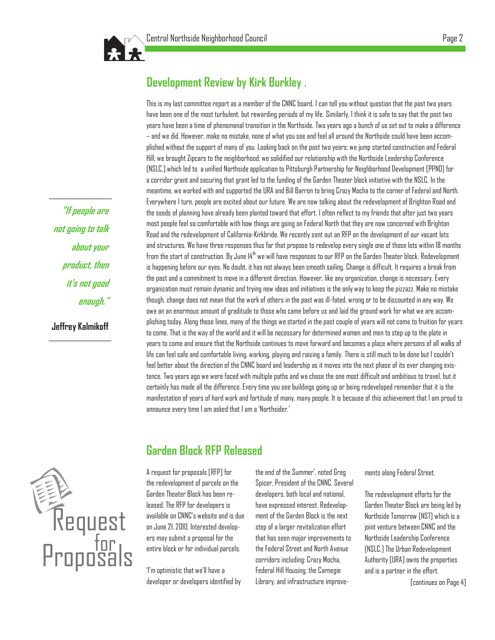

### **Development Review by Kirk Burkley .**

This is my last committee report as a member of the CNNC board. I can tell you without question that the past two years have been one of the most turbulent, but rewarding periods of my life. Similarly, I think it is safe to say that the past two years have been a time of phenomenal transition in the Northside. Two years ago a bunch of us set out to make a difference : and we did. However, make no mistake, none of what you see and feel all around the Northside could have been accomplished without the support of many of you. Looking back on the past two years; we jump started construction and Federal Hill; we brought Zipcars to the neighborhood; we solidified our relationship with the Northside Leadership Conference [NSLC,] which led to a unified Northside application to Pittsburgh Partnership for Neighborhood Development [PPND] for a corridor grant and securing that grant led to the funding of the Garden Theater block initiative with the NSLC. In the meantime, we worked with and supported the URA and Bill Barron to bring Crazy Mocha to the corner of Federal and North. Everywhere I turn, people are excited about our future. We are now talking about the redevelopment of Brighton Road and the seeds of planning have already been planted toward that effort. I often reflect to my friends that after just two years most people feel so comfortable with how things are going on Federal North that they are now concerned with Brighton Road and the redevelopment of California-Kirkbride. We recently sent out an RFP on the development of our vacant lots and structures. We have three responses thus far that propose to redevelop every single one of those lots within 18 months from the start of construction. By June 14th we will have responses to our RFP on the Garden Theater block. Redevelopment is happening before our eyes. No doubt, it has not always been smooth sailing. Change is difficult. It requires a break from the past and a commitment to move in a different direction. However, like any organization, change is necessary. Every organization must remain dynamic and trying new ideas and initiatives is the only way to keep the pizzazz. Make no mistake though, change does not mean that the work of others in the past was ill-fated, wrong or to be discounted in any way. We owe an an enormous amount of graditude to those who came before us and laid the ground work for what we are accomplishing today. Along those lines, many of the things we started in the past couple of years will not come to fruition for years to come. That is the way of the world and it will be necessary for determined women and men to step up to the plate in years to come and ensure that the Northside continues to move forward and becomes a place where persons of all walks of life can feel safe and comfortable living, working, playing and raising a family. There is still much to be done but I couldn't feel better about the direction of the CNNC board and leadership as it moves into the next phase of its ever changing existence. Two years ago we were faced with multiple paths and we chose the one most difficult and ambitious to travel, but it certainly has made all the difference. Every time you see buildings going up or being redeveloped remember that it is the manifestation of years of hard work and fortitude of many, many people. It is because of this achievement that I am proud to announce every time I am asked that I am a 'Northsider.'



# **Garden Block RFP Released**

A request for proposals [RFP] for the redevelopment of parcels on the Garden Theater Block has been released. The RFP for developers is available on CNNC's website and is due on June 21, 2010. Interested developers may submit a proposal for the entire block or for individual parcels.

'I'm optimistic that we'll have a developer or developers identified by the end of the Summer', noted Greg Spicer, President of the CNNC. Several developers, both local and national, have expressed interest. Redevelopment of the Garden Block is the next step of a larger revitalization effort that has seen major improvements to the Federal Street and North Avenue corridors including: Crazy Mocha, Federal Hill Housing, the Carnegie Library, and infrastructure improvements along Federal Street.

The redevelopment efforts for the Garden Theater Block are being led by Northside Tomorrow [NST] which is a joint venture between CNNC and the Northside Leadership Conference [NSLC.] The Urban Redevelopment Authority [URA] owns the properties and is a partner in the effort.

[continues on Page 4]

**!If people are not going to talk about your product, then it-s not good**  enough."

**Jeffrey Kalmikoff**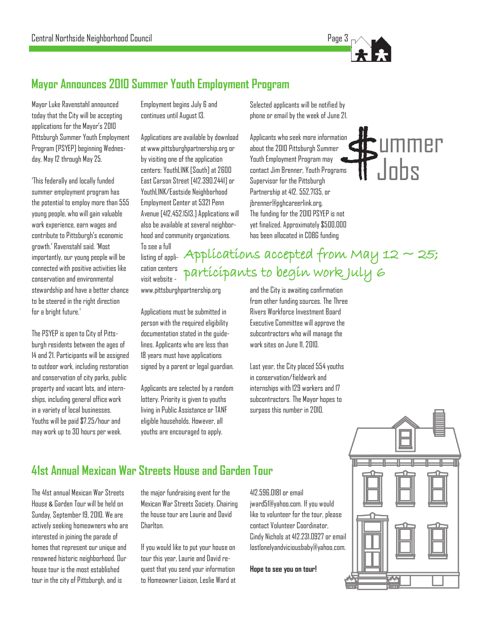

# **Mayor Announces 2010 Summer Youth Employment Program**

Mayor Luke Ravenstahl announced today that the City will be accepting applications for the Mayor's 2010 Pittsburgh Summer Youth Employment Program [PSYEP] beginning Wednesday, May 12 through May 25.

4This federally and locally funded summer employment program has the potential to employ more than 555 young people, who will gain valuable work experience, earn wages and contribute to Pittsburgh's economic growth.7 Ravenstahl said. 4Most importantly, our young people will be connected with positive activities like conservation and environmental stewardship and have a better chance to be steered in the right direction for a bright future."

The PSYEP is open to City of Pittsburgh residents between the ages of 14 and 21. Participants will be assigned to outdoor work, including restoration and conservation of city parks, public property and vacant lots, and internships, including general office work in a variety of local businesses. Youths will be paid \$7.25/hour and may work up to 30 hours per week.

Employment begins July 6 and continues until August 13.

Applications are available by download at www.pittsburghpartnership.org or by visiting one of the application centers: YouthLINK [South] at 2600 East Carson Street [412.390.2441] or YouthLINK/Eastside Neighborhood Employment Center at 5321 Penn Avenue [412,452.1513.] Applications will also be available at several neighborhood and community organizations.

Selected applicants will be notified by phone or email by the week of June 21.

Applicants who seek more information about the 2010 Pittsburgh Summer Youth Employment Program may contact Jim Brenner, Youth Programs Supervisor for the Pittsburgh Partnership at 412. 552.7135, or jbrenner@pghcareerlink.org. The funding for the 2010 PSYEP is not yet finalized. Approximately \$500,000 has been allocated in CDBG funding



To see a full listing of applications accepted from May 12  $\sim$  25; cation centers visit website participants to begin work July 6

www.pittsburghpartnership.org

Applications must be submitted in person with the required eligibility documentation stated in the guidelines. Applicants who are less than 18 years must have applications signed by a parent or legal guardian.

Applicants are selected by a random lottery. Priority is given to youths living in Public Assistance or TANF eligible households. However, all youths are encouraged to apply.

and the City is awaiting confirmation from other funding sources. The Three Rivers Workforce Investment Board Executive Committee will approve the subcontractors who will manage the work sites on June 11, 2010.

Last year, the City placed 554 youths in conservation/fieldwork and internships with 129 workers and 17 subcontractors. The Mayor hopes to surpass this number in 2010.

# **41st Annual Mexican War Streets House and Garden Tour**

The 41st annual Mexican War Streets House & Garden Tour will be held on Sunday, September 19, 2010. We are actively seeking homeowners who are interested in joining the parade of homes that represent our unique and renowned historic neighborhood. Our house tour is the most established tour in the city of Pittsburgh, and is

the major fundraising event for the Mexican War Streets Society. Chairing the house tour are Laurie and David Charlton.

If you would like to put your house on tour this year, Laurie and David request that you send your information to Homeowner Liaison, Leslie Ward at

412.596.0181 or email jward51@yahoo.com. If you would like to volunteer for the tour, please contact Volunteer Coordinator, Cindy Nichols at 412.231.0927 or email lostlonelyandviciousbaby@yahoo.com.

**Hope to see you on tour!** 

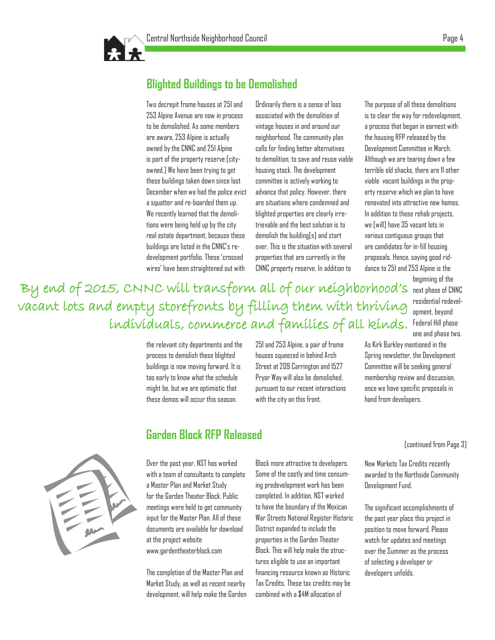

### **Blighted Buildings to be Demolished**

Two decrepit frame houses at 251 and 253 Alpine Avenue are now in process to be demolished. As some members are aware, 253 Alpine is actually owned by the CNNC and 251 Alpine is part of the property reserve [cityowned.] We have been trying to get these buildings taken down since last December when we had the police evict a squatter and re-boarded them up. We recently learned that the demolitions were being held up by the city real estate department, because these buildings are listed in the CNNC's redevelopment portfolio. These 'crossed wires' have been straightened out with

Ordinarily there is a sense of loss associated with the demolition of vintage houses in and around our neighborhood. The community plan calls for finding better alternatives to demolition, to save and reuse viable housing stock. The development committee is actively working to advance that policy. However, there are situations where condemned and blighted properties are clearly irretrievable and the best solution is to demolish the building[s] and start over. This is the situation with several properties that are currently in the CNNC property reserve. In addition to

The purpose of all these demolitions is to clear the way for redevelopment, a process that began in earnest with the housing RFP released by the Development Committee in March. Although we are tearing down a few terrible old shacks, there are 11 other viable vacant buildings in the property reserve which we plan to have renovated into attractive new homes. In addition to these rehab projects, we [will] have 35 vacant lots in various contiguous groups that are candidates for in-fill housing proposals. Hence, saying good riddance to 251 and 253 Alpine is the

By end of 2015, CNNC will transform all of our neighborhood's  $\frac{1}{\sqrt{2}}$  next phase of CNNC vacant lots and empty storefronts by filling them with thriving individuals, commerce and families of all kinds.

> the relevant city departments and the process to demolish these blighted buildings is now moving forward. It is too early to know what the schedule might be, but we are optimistic that these demos will occur this season.

251 and 253 Alpine, a pair of frame houses squeezed in behind Arch Street at 209 Carrington and 1527 Pryor Way will also be demolished, pursuant to our recent interactions with the city on this front.

beginning of the residential redevelopment, beyond Federal Hill phase one and phase two.

As Kirk Burkley mentioned in the Spring newsletter, the Development Committee will be seeking general membership review and discussion, once we have specific proposals in hand from developers.



### **Garden Block RFP Released**

Over the past year, NST has worked with a team of consultants to complete a Master Plan and Market Study for the Garden Theater Block. Public meetings were held to get community input for the Master Plan. All of these documents are available for download at the project website www.gardentheaterblock.com

The completion of the Master Plan and Market Study, as well as recent nearby development, will help make the Garden Block more attractive to developers. Some of the costly and time consuming predevelopment work has been completed. In addition, NST worked to have the boundary of the Mexican War Streets National Register Historic District expanded to include the properties in the Garden Theater Block. This will help make the structures eligible to use an important financing resource known as Historic Tax Credits. These tax credits may be combined with a \$4M allocation of

[continued from Page 3]

New Markets Tax Credits recently awarded to the Northside Community Development Fund.

The significant accomplishments of the past year place this project in position to move forward. Please watch for updates and meetings over the Summer as the process of selecting a developer or developers unfolds.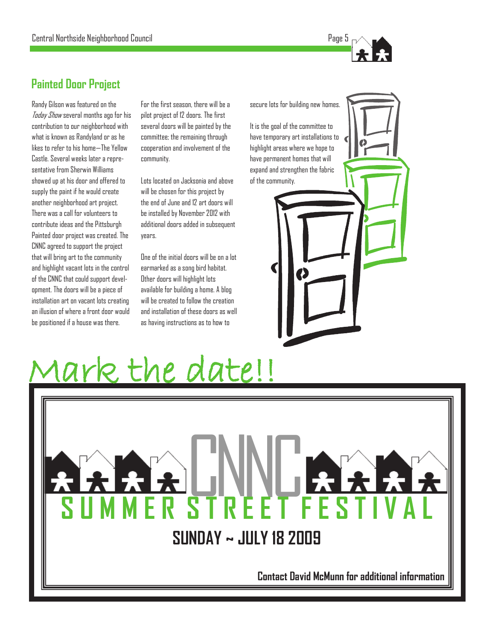

### **Painted Door Project**

Randy Gilson was featured on the Today Show several months ago for his contribution to our neighborhood with what is known as Randyland or as he likes to refer to his home—The Yellow Castle. Several weeks later a representative from Sherwin Williams showed up at his door and offered to supply the paint if he would create another neighborhood art project. There was a call for volunteers to contribute ideas and the Pittsburgh Painted door project was created. The CNNC agreed to support the project that will bring art to the community and highlight vacant lots in the control of the CNNC that could support development. The doors will be a piece of installation art on vacant lots creating an illusion of where a front door would be positioned if a house was there.

For the first season, there will be a pilot project of 12 doors. The first several doors will be painted by the committee; the remaining through cooperation and involvement of the community.

Lots located on Jacksonia and above will be chosen for this project by the end of June and 12 art doors will be installed by November 2012 with additional doors added in subsequent years.

One of the initial doors will be on a lot earmarked as a song bird habitat. Other doors will highlight lots available for building a home. A blog will be created to follow the creation and installation of these doors as well as having instructions as to how to

C N LE

**S U M M E R S T R E E T F E S T I V A L** 

**SUNDAY ~ JULY 18 2009** 

**Contact David McMunn for additional information** 

```
<u>Iark the date!!</u>
```
secure lots for building new homes.

It is the goal of the committee to have temporary art installations to highlight areas where we hope to have permanent homes that will expand and strengthen the fabric of the community.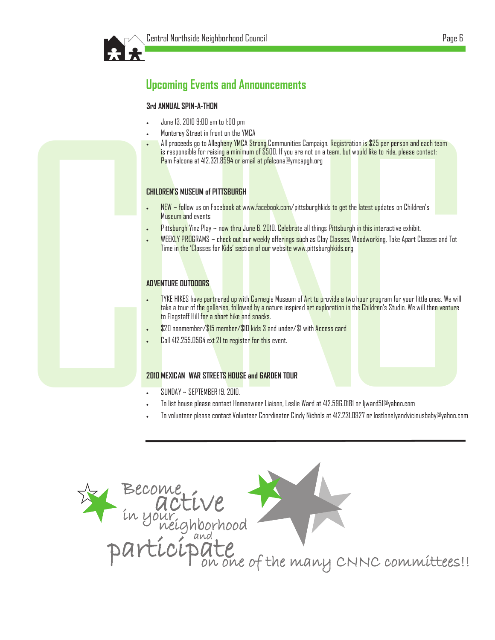

### **Upcoming Events and Announcements**

### **3rd ANNUAL SPIN-A-THON**

- x June 13, 2010 9:00 am to 1:00 pm
- x Monterey Street in front on the YMCA
- 9. June 13, 2010 9:00 am to 1:00 pm<br>
1. Monterey Street in front on the YMCA<br>
1. All proceeds go to Alleghenry YMCA<br>
1. are reasons ble for raising a minimum of<br>
1. Pam Falcona at 412.321.8594 or email at<br>
1. CHILDREN'S **Solution**<br>
I the YMCA<br> **Solution Strong Communities Campaign. Registration is S**<br> **MCA Strong Communities Campaign. Registration is S**<br>
4 or email at pfalcona@ymcapgh.org<br>
<br> **SURGH**<br>
Ak at www.facebook.com/pittsburghkids All proceeds go to Allegheny YMCA Strong Communities Campaign. Registration is \$25 per person and each team is responsible for raising a minimum of \$500. If you are not on a team, but would like to ride, please contact: Pam Falcona at 412.321.8594 or email at pfalcona@ymcapgh.org

### **CHILDREN-S MUSEUM of PITTSBURGH**

- $NEW \sim$  follow us on Facebook at www.facebook.com/pittsburghkids to get the latest updates on Children's Museum and events
- Pittsburgh Yinz Play  $\sim$  now thru June 6, 2010. Celebrate all things Pittsburgh in this interactive exhibit.
- x WEEKLY PROGRAMS ~ check out our weekly offerings such as Clay Classes, Woodworking, Take Apart Classes and Tot Time in the 'Classes for Kids' section of our website www.pittsburghkids.org

### **ADVENTURE OUTDOORS**

- C pistration is \$25 per person and each team<br>
but would like to ride, please contact:<br>
get the latest updates on Children's<br>
sburgh in this interactive exhibit.<br>
sses, Woodworking, Take Apart Classes and Tot<br>
ds.org<br>
a two h . TYKE HIKES have partnered up with Carnegie Museum of Art to provide a two hour program for your little ones. We will take a tour of the galleries, followed by a nature inspired art exploration in the Children's Studio. We will then venture to Flagstaff Hill for a short hike and snacks.
	- x \$20 nonmember/\$15 member/\$10 kids 3 and under/\$1 with Access card
	- Call 412.255.0564 ext 21 to register for this event.

### **2010 MEXICAN WAR STREETS HOUSE and GARDEN TOUR**

- $SUNDAY \sim SEPTEMBER$  19, 2010.
- x To list house please contact Homeowner Liaison, Leslie Ward at 412.596.0181 or ljward51@yahoo.com
- x To volunteer please contact Volunteer Coordinator Cindy Nichols at 412.231.0927 or lostlonelyandviciousbaby@yahoo.com

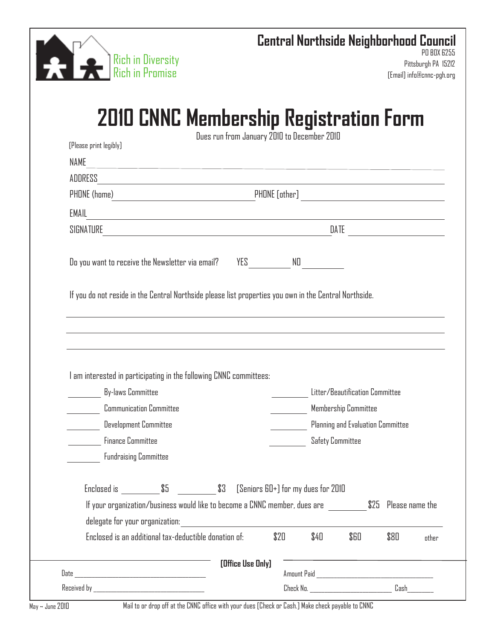# **Central Northside Neighborhood Council**

PO BOX 6255 Pittsburgh PA 15212 [Email] info@cnnc-pgh.org

# **2010 CNNC Membership Registration Form**

| ADDRESS                                           |                                                                                                                  |                                    |                         |                                                           |                      |       |
|---------------------------------------------------|------------------------------------------------------------------------------------------------------------------|------------------------------------|-------------------------|-----------------------------------------------------------|----------------------|-------|
|                                                   |                                                                                                                  |                                    |                         |                                                           |                      |       |
| EMAIL                                             | and the control of the control of the control of the control of the control of the control of the control of the |                                    |                         |                                                           |                      |       |
| SIGNATURE                                         | <u> 1980 - Johann Barn, fransk politik (d. 1980)</u>                                                             |                                    |                         |                                                           |                      |       |
|                                                   |                                                                                                                  |                                    |                         |                                                           |                      |       |
|                                                   | If you do not reside in the Central Northside please list properties you own in the Central Northside.           |                                    |                         |                                                           |                      |       |
|                                                   |                                                                                                                  |                                    |                         |                                                           |                      |       |
|                                                   |                                                                                                                  |                                    |                         |                                                           |                      |       |
|                                                   |                                                                                                                  |                                    |                         |                                                           |                      |       |
|                                                   |                                                                                                                  |                                    |                         |                                                           |                      |       |
|                                                   |                                                                                                                  |                                    |                         |                                                           |                      |       |
|                                                   | I am interested in participating in the following CNNC committees:                                               |                                    |                         |                                                           |                      |       |
| By-laws Committee                                 |                                                                                                                  |                                    |                         | Litter/Beautification Committee                           |                      |       |
|                                                   | <b>Communication Committee</b>                                                                                   |                                    |                         | Membership Committee<br>Planning and Evaluation Committee |                      |       |
| Development Committee<br><b>Finance Committee</b> |                                                                                                                  |                                    | <b>Safety Committee</b> |                                                           |                      |       |
|                                                   | <b>Fundraising Committee</b>                                                                                     |                                    |                         |                                                           |                      |       |
|                                                   |                                                                                                                  |                                    |                         |                                                           |                      |       |
| Enclosed is                                       | \$3                                                                                                              | [Seniors 60+] for my dues for 2010 |                         |                                                           |                      |       |
|                                                   | If your organization/business would like to become a CNNC member, dues are                                       |                                    |                         |                                                           | \$25 Please name the |       |
| delegate for your organization:                   | <u> 1980 - John Stein, Amerikaansk kanton (</u>                                                                  |                                    |                         |                                                           |                      |       |
|                                                   | Enclosed is an additional tax-deductible donation of:                                                            | \$20                               | \$40                    | \$60                                                      | \$80                 | other |
|                                                   | [Office Use Only]                                                                                                |                                    |                         |                                                           |                      |       |

 $M_{\rm 4}$   $\sim$  June 2010 Mail to or drop off at the CNNC office with your dues [Check or Cash.] Make check payable to CNNC